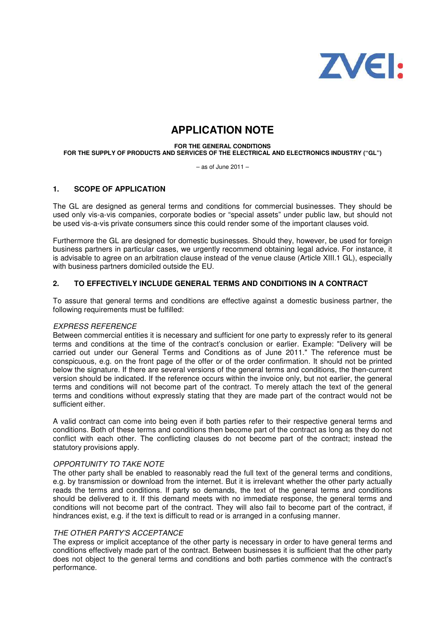

# **APPLICATION NOTE**

**FOR THE GENERAL CONDITIONS** 

**FOR THE SUPPLY OF PRODUCTS AND SERVICES OF THE ELECTRICAL AND ELECTRONICS INDUSTRY ("GL")** 

– as of June 2011 –

## **1. SCOPE OF APPLICATION**

The GL are designed as general terms and conditions for commercial businesses. They should be used only vis-a-vis companies, corporate bodies or "special assets" under public law, but should not be used vis-a-vis private consumers since this could render some of the important clauses void.

Furthermore the GL are designed for domestic businesses. Should they, however, be used for foreign business partners in particular cases, we urgently recommend obtaining legal advice. For instance, it is advisable to agree on an arbitration clause instead of the venue clause (Article XIII.1 GL), especially with business partners domiciled outside the EU.

## **2. TO EFFECTIVELY INCLUDE GENERAL TERMS AND CONDITIONS IN A CONTRACT**

To assure that general terms and conditions are effective against a domestic business partner, the following requirements must be fulfilled:

#### EXPRESS REFERENCE

Between commercial entities it is necessary and sufficient for one party to expressly refer to its general terms and conditions at the time of the contract's conclusion or earlier. Example: "Delivery will be carried out under our General Terms and Conditions as of June 2011." The reference must be conspicuous, e.g. on the front page of the offer or of the order confirmation. It should not be printed below the signature. If there are several versions of the general terms and conditions, the then-current version should be indicated. If the reference occurs within the invoice only, but not earlier, the general terms and conditions will not become part of the contract. To merely attach the text of the general terms and conditions without expressly stating that they are made part of the contract would not be sufficient either.

A valid contract can come into being even if both parties refer to their respective general terms and conditions. Both of these terms and conditions then become part of the contract as long as they do not conflict with each other. The conflicting clauses do not become part of the contract; instead the statutory provisions apply.

#### OPPORTUNITY TO TAKE NOTE

The other party shall be enabled to reasonably read the full text of the general terms and conditions, e.g. by transmission or download from the internet. But it is irrelevant whether the other party actually reads the terms and conditions. If party so demands, the text of the general terms and conditions should be delivered to it. If this demand meets with no immediate response, the general terms and conditions will not become part of the contract. They will also fail to become part of the contract, if hindrances exist, e.g. if the text is difficult to read or is arranged in a confusing manner.

#### THE OTHER PARTY'S ACCEPTANCE

The express or implicit acceptance of the other party is necessary in order to have general terms and conditions effectively made part of the contract. Between businesses it is sufficient that the other party does not object to the general terms and conditions and both parties commence with the contract's performance.